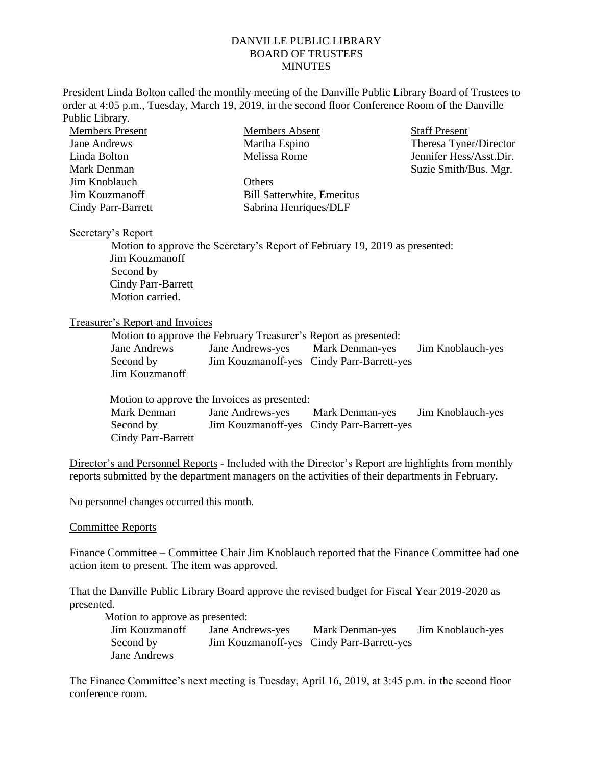## DANVILLE PUBLIC LIBRARY BOARD OF TRUSTEES **MINUTES**

President Linda Bolton called the monthly meeting of the Danville Public Library Board of Trustees to order at 4:05 p.m., Tuesday, March 19, 2019, in the second floor Conference Room of the Danville Public Library.

| <b>Members Present</b>    | Members Absent                    | <b>Staff Present</b>    |
|---------------------------|-----------------------------------|-------------------------|
| Jane Andrews              | Martha Espino                     | Theresa Tyner/Director  |
| Linda Bolton              | Melissa Rome                      | Jennifer Hess/Asst.Dir. |
| Mark Denman               |                                   | Suzie Smith/Bus. Mgr.   |
| Jim Knoblauch             | Others                            |                         |
| Jim Kouzmanoff            | <b>Bill Satterwhite, Emeritus</b> |                         |
| <b>Cindy Parr-Barrett</b> | Sabrina Henriques/DLF             |                         |

## Secretary's Report

Motion to approve the Secretary's Report of February 19, 2019 as presented: Jim Kouzmanoff Second by Cindy Parr-Barrett Motion carried.

## Treasurer's Report and Invoices

|                | Motion to approve the February Treasurer's Report as presented: |                                            |                   |
|----------------|-----------------------------------------------------------------|--------------------------------------------|-------------------|
| Jane Andrews   | Jane Andrews-yes Mark Denman-yes                                |                                            | Jim Knoblauch-yes |
| Second by      |                                                                 | Jim Kouzman off-yes Cindy Parr-Barrett-yes |                   |
| Jim Kouzmanoff |                                                                 |                                            |                   |

|                    | Motion to approve the Invoices as presented: |                                            |                   |
|--------------------|----------------------------------------------|--------------------------------------------|-------------------|
| Mark Denman        | Jane Andrews-yes Mark Denman-yes             |                                            | Jim Knoblauch-yes |
| Second by          |                                              | Jim Kouzman off-yes Cindy Parr-Barrett-yes |                   |
| Cindy Parr-Barrett |                                              |                                            |                   |

Director's and Personnel Reports - Included with the Director's Report are highlights from monthly reports submitted by the department managers on the activities of their departments in February.

No personnel changes occurred this month.

## Committee Reports

Finance Committee – Committee Chair Jim Knoblauch reported that the Finance Committee had one action item to present. The item was approved.

That the Danville Public Library Board approve the revised budget for Fiscal Year 2019-2020 as presented.

Motion to approve as presented:

Jim Kouzmanoff Jane Andrews-yes Mark Denman-yes Jim Knoblauch-yes Second by Jim Kouzmanoff-yes Cindy Parr-Barrett-yes Jane Andrews

The Finance Committee's next meeting is Tuesday, April 16, 2019, at 3:45 p.m. in the second floor conference room.